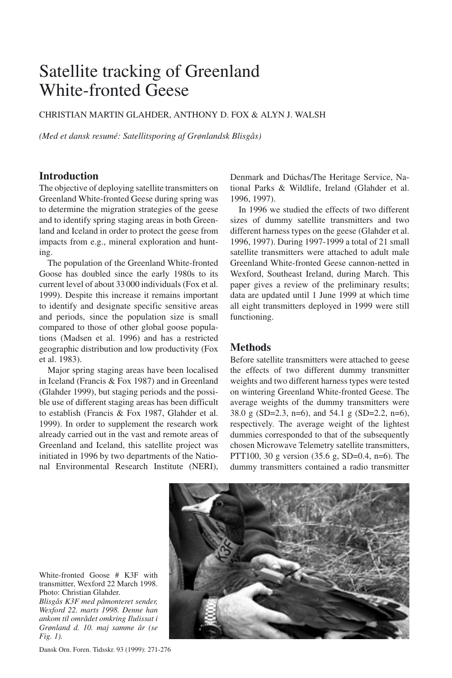# Satellite tracking of Greenland White-fronted Geese

CHRISTIAN MARTIN GLAHDER, ANTHONY D. FOX & ALYN J. WALSH

*(Med et dansk resumé: Satellitsporing af Grønlandsk Blisgås)*

## **Introduction**

The objective of deploying satellite transmitters on Greenland White-fronted Geese during spring was to determine the migration strategies of the geese and to identify spring staging areas in both Greenland and Iceland in order to protect the geese from impacts from e.g., mineral exploration and hunting.

The population of the Greenland White-fronted Goose has doubled since the early 1980s to its current level of about 33 000 individuals (Fox et al. 1999). Despite this increase it remains important to identify and designate specific sensitive areas and periods, since the population size is small compared to those of other global goose populations (Madsen et al. 1996) and has a restricted geographic distribution and low productivity (Fox et al. 1983).

Major spring staging areas have been localised in Iceland (Francis & Fox 1987) and in Greenland (Glahder 1999), but staging periods and the possible use of different staging areas has been difficult to establish (Francis & Fox 1987, Glahder et al. 1999). In order to supplement the research work already carried out in the vast and remote areas of Greenland and Iceland, this satellite project was initiated in 1996 by two departments of the National Environmental Research Institute (NERI), Denmark and Dúchas/The Heritage Service, National Parks & Wildlife, Ireland (Glahder et al. 1996, 1997).

In 1996 we studied the effects of two different sizes of dummy satellite transmitters and two different harness types on the geese (Glahder et al. 1996, 1997). During 1997-1999 a total of 21 small satellite transmitters were attached to adult male Greenland White-fronted Geese cannon-netted in Wexford, Southeast Ireland, during March. This paper gives a review of the preliminary results; data are updated until 1 June 1999 at which time all eight transmitters deployed in 1999 were still functioning.

## **Methods**

Before satellite transmitters were attached to geese the effects of two different dummy transmitter weights and two different harness types were tested on wintering Greenland White-fronted Geese. The average weights of the dummy transmitters were 38.0 g (SD=2.3, n=6), and 54.1 g (SD=2.2, n=6), respectively. The average weight of the lightest dummies corresponded to that of the subsequently chosen Microwave Telemetry satellite transmitters, PTT100, 30 g version (35.6 g, SD=0.4, n=6). The dummy transmitters contained a radio transmitter



White-fronted Goose # K3F with transmitter, Wexford 22 March 1998. Photo: Christian Glahder.

*Blisgås K3F med påmonteret sender, Wexford 22. marts 1998. Denne han ankom til området omkring Ilulissat i Grønland d. 10. maj samme år (se Fig. 1).*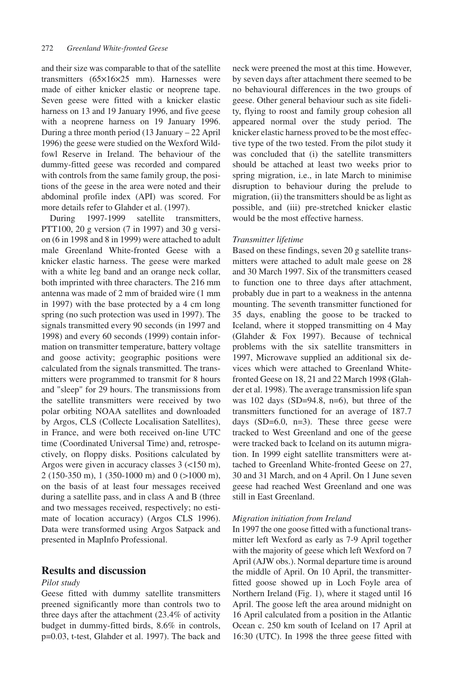and their size was comparable to that of the satellite transmitters (65×16×25 mm). Harnesses were made of either knicker elastic or neoprene tape. Seven geese were fitted with a knicker elastic harness on 13 and 19 January 1996, and five geese with a neoprene harness on 19 January 1996. During a three month period (13 January – 22 April 1996) the geese were studied on the Wexford Wildfowl Reserve in Ireland. The behaviour of the dummy-fitted geese was recorded and compared with controls from the same family group, the positions of the geese in the area were noted and their abdominal profile index (API) was scored. For more details refer to Glahder et al. (1997).

During 1997-1999 satellite transmitters, PTT100, 20 g version (7 in 1997) and 30 g version (6 in 1998 and 8 in 1999) were attached to adult male Greenland White-fronted Geese with a knicker elastic harness. The geese were marked with a white leg band and an orange neck collar, both imprinted with three characters. The 216 mm antenna was made of 2 mm of braided wire (1 mm in 1997) with the base protected by a 4 cm long spring (no such protection was used in 1997). The signals transmitted every 90 seconds (in 1997 and 1998) and every 60 seconds (1999) contain information on transmitter temperature, battery voltage and goose activity; geographic positions were calculated from the signals transmitted. The transmitters were programmed to transmit for 8 hours and "sleep" for 29 hours. The transmissions from the satellite transmitters were received by two polar orbiting NOAA satellites and downloaded by Argos, CLS (Collecte Localisation Satellites), in France, and were both received on-line UTC time (Coordinated Universal Time) and, retrospectively, on floppy disks. Positions calculated by Argos were given in accuracy classes 3 (<150 m), 2 (150-350 m), 1 (350-1000 m) and 0 (>1000 m), on the basis of at least four messages received during a satellite pass, and in class A and B (three and two messages received, respectively; no estimate of location accuracy) (Argos CLS 1996). Data were transformed using Argos Satpack and presented in MapInfo Professional.

## **Results and discussion**

#### *Pilot study*

Geese fitted with dummy satellite transmitters preened significantly more than controls two to three days after the attachment (23.4% of activity budget in dummy-fitted birds, 8.6% in controls, p=0.03, t-test, Glahder et al. 1997). The back and neck were preened the most at this time. However, by seven days after attachment there seemed to be no behavioural differences in the two groups of geese. Other general behaviour such as site fidelity, flying to roost and family group cohesion all appeared normal over the study period. The knicker elastic harness proved to be the most effective type of the two tested. From the pilot study it was concluded that (i) the satellite transmitters should be attached at least two weeks prior to spring migration, i.e., in late March to minimise disruption to behaviour during the prelude to migration, (ii) the transmitters should be as light as possible, and (iii) pre-stretched knicker elastic would be the most effective harness.

#### *Transmitter lifetime*

Based on these findings, seven 20 g satellite transmitters were attached to adult male geese on 28 and 30 March 1997. Six of the transmitters ceased to function one to three days after attachment, probably due in part to a weakness in the antenna mounting. The seventh transmitter functioned for 35 days, enabling the goose to be tracked to Iceland, where it stopped transmitting on 4 May (Glahder & Fox 1997). Because of technical problems with the six satellite transmitters in 1997, Microwave supplied an additional six devices which were attached to Greenland Whitefronted Geese on 18, 21 and 22 March 1998 (Glahder et al. 1998). The average transmission life span was  $102 \text{ days } (SD=94.8, n=6)$ , but three of the transmitters functioned for an average of 187.7 days  $(SD=6.0, n=3)$ . These three geese were tracked to West Greenland and one of the geese were tracked back to Iceland on its autumn migration. In 1999 eight satellite transmitters were attached to Greenland White-fronted Geese on 27, 30 and 31 March, and on 4 April. On 1 June seven geese had reached West Greenland and one was still in East Greenland.

#### *Migration initiation from Ireland*

In 1997 the one goose fitted with a functional transmitter left Wexford as early as 7-9 April together with the majority of geese which left Wexford on 7 April (AJW obs.). Normal departure time is around the middle of April. On 10 April, the transmitterfitted goose showed up in Loch Foyle area of Northern Ireland (Fig. 1), where it staged until 16 April. The goose left the area around midnight on 16 April calculated from a position in the Atlantic Ocean c. 250 km south of Iceland on 17 April at 16:30 (UTC). In 1998 the three geese fitted with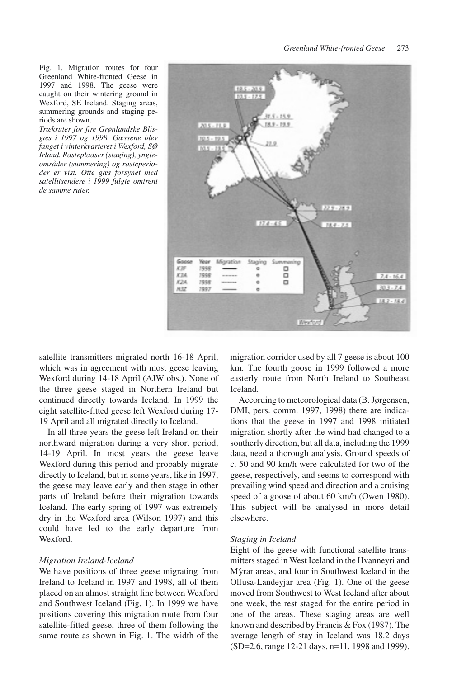Fig. 1. Migration routes for four Greenland White-fronted Geese in 1997 and 1998. The geese were caught on their wintering ground in Wexford, SE Ireland. Staging areas, summering grounds and staging periods are shown.

*Trækruter for fire Grønlandske Blisgæs i 1997 og 1998. Gæssene blev fanget i vinterkvarteret i Wexford, SØ Irland. Rastepladser (staging), yngleområder (summering) og rasteperioder er vist. Otte gæs forsynet med satellitsendere i 1999 fulgte omtrent de samme ruter.*



satellite transmitters migrated north 16-18 April, which was in agreement with most geese leaving Wexford during 14-18 April (AJW obs.). None of the three geese staged in Northern Ireland but continued directly towards Iceland. In 1999 the eight satellite-fitted geese left Wexford during 17- 19 April and all migrated directly to Iceland.

In all three years the geese left Ireland on their northward migration during a very short period, 14-19 April. In most years the geese leave Wexford during this period and probably migrate directly to Iceland, but in some years, like in 1997, the geese may leave early and then stage in other parts of Ireland before their migration towards Iceland. The early spring of 1997 was extremely dry in the Wexford area (Wilson 1997) and this could have led to the early departure from **Wexford** 

#### *Migration Ireland-Iceland*

We have positions of three geese migrating from Ireland to Iceland in 1997 and 1998, all of them placed on an almost straight line between Wexford and Southwest Iceland (Fig. 1). In 1999 we have positions covering this migration route from four satellite-fitted geese, three of them following the same route as shown in Fig. 1. The width of the migration corridor used by all 7 geese is about 100 km. The fourth goose in 1999 followed a more easterly route from North Ireland to Southeast Iceland.

According to meteorological data (B. Jørgensen, DMI, pers. comm. 1997, 1998) there are indications that the geese in 1997 and 1998 initiated migration shortly after the wind had changed to a southerly direction, but all data, including the 1999 data, need a thorough analysis. Ground speeds of c. 50 and 90 km/h were calculated for two of the geese, respectively, and seems to correspond with prevailing wind speed and direction and a cruising speed of a goose of about 60 km/h (Owen 1980). This subject will be analysed in more detail elsewhere.

#### *Staging in Iceland*

Eight of the geese with functional satellite transmitters staged in West Iceland in the Hvanneyri and M´yrar areas, and four in Southwest Iceland in the Olfusa-Landeyjar area (Fig. 1). One of the geese moved from Southwest to West Iceland after about one week, the rest staged for the entire period in one of the areas. These staging areas are well known and described by Francis & Fox (1987). The average length of stay in Iceland was 18.2 days (SD=2.6, range 12-21 days, n=11, 1998 and 1999).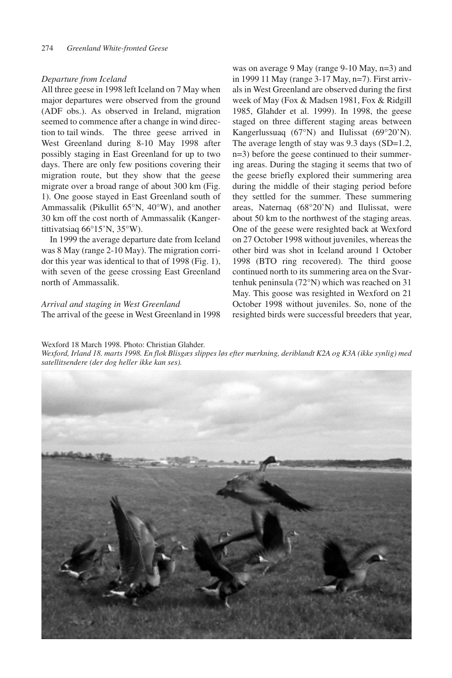#### *Departure from Iceland*

All three geese in 1998 left Iceland on 7 May when major departures were observed from the ground (ADF obs.). As observed in Ireland, migration seemed to commence after a change in wind direction to tail winds. The three geese arrived in West Greenland during 8-10 May 1998 after possibly staging in East Greenland for up to two days. There are only few positions covering their migration route, but they show that the geese migrate over a broad range of about 300 km (Fig. 1). One goose stayed in East Greenland south of Ammassalik (Pikullit 65°N, 40°W), and another 30 km off the cost north of Ammassalik (Kangertittivatsiaq 66°15'N, 35°W).

In 1999 the average departure date from Iceland was 8 May (range 2-10 May). The migration corridor this year was identical to that of 1998 (Fig. 1), with seven of the geese crossing East Greenland north of Ammassalik.

## *Arrival and staging in West Greenland*

The arrival of the geese in West Greenland in 1998

was on average 9 May (range 9-10 May, n=3) and in 1999 11 May (range 3-17 May, n=7). First arrivals in West Greenland are observed during the first week of May (Fox & Madsen 1981, Fox & Ridgill 1985, Glahder et al. 1999). In 1998, the geese staged on three different staging areas between Kangerlussuaq (67°N) and Ilulissat (69°20'N). The average length of stay was 9.3 days (SD=1.2, n=3) before the geese continued to their summering areas. During the staging it seems that two of the geese briefly explored their summering area during the middle of their staging period before they settled for the summer. These summering areas, Naternaq (68°20'N) and Ilulissat, were about 50 km to the northwest of the staging areas. One of the geese were resighted back at Wexford on 27 October 1998 without juveniles, whereas the other bird was shot in Iceland around 1 October 1998 (BTO ring recovered). The third goose continued north to its summering area on the Svartenhuk peninsula (72°N) which was reached on 31 May. This goose was resighted in Wexford on 21 October 1998 without juveniles. So, none of the resighted birds were successful breeders that year,

#### Wexford 18 March 1998. Photo: Christian Glahder.

*Wexford, Irland 18. marts 1998. En flok Blisgæs slippes løs efter mærkning, deriblandt K2A og K3A (ikke synlig) med satellitsendere (der dog heller ikke kan ses).*

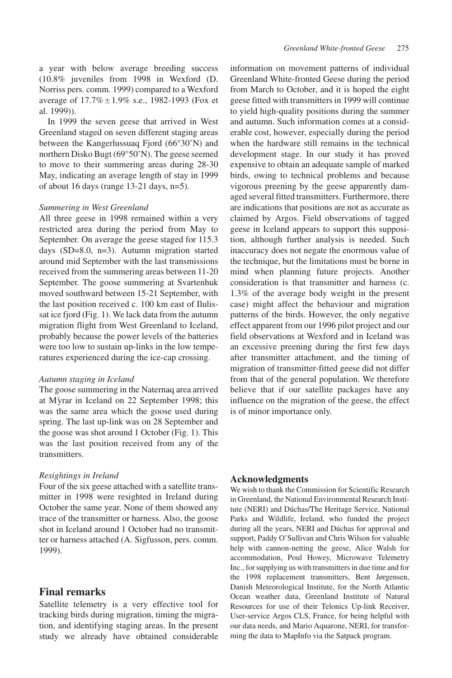a year with below average breeding success (10.8% juveniles from 1998 in Wexford (D. Norriss pers. comm. 1999) compared to a Wexford average of  $17.7\% \pm 1.9\%$  s.e., 1982-1993 (Fox et al. 1999)).

In 1999 the seven geese that arrived in West Greenland staged on seven different staging areas between the Kangerlussuaq Fjord (66°30'N) and northern Disko Bugt (69°50'N). The geese seemed to move to their summering areas during 28-30 May, indicating an average length of stay in 1999 of about 16 days (range 13-21 days, n=5).

#### *Summering in West Greenland*

All three geese in 1998 remained within a very restricted area during the period from May to September. On average the geese staged for 115.3 days (SD=8.0, n=3). Autumn migration started around mid September with the last transmissions received from the summering areas between 11-20 September. The goose summering at Svartenhuk moved southward between 15-21 September, with the last position received c. 100 km east of Ilulissat ice fjord (Fig. 1). We lack data from the autumn migration flight from West Greenland to Iceland, probably because the power levels of the batteries were too low to sustain up-links in the low temperatures experienced during the ice-cap crossing.

#### *Autumn staging in Iceland*

The goose summering in the Naternaq area arrived at M´yrar in Iceland on 22 September 1998; this was the same area which the goose used during spring. The last up-link was on 28 September and the goose was shot around 1 October (Fig. 1). This was the last position received from any of the transmitters.

#### *Resightings in Ireland*

Four of the six geese attached with a satellite transmitter in 1998 were resighted in Ireland during October the same year. None of them showed any trace of the transmitter or harness. Also, the goose shot in Iceland around 1 October had no transmitter or harness attached (A. Sigfusson, pers. comm. 1999).

## **Final remarks**

Satellite telemetry is a very effective tool for tracking birds during migration, timing the migration, and identifying staging areas. In the present study we already have obtained considerable information on movement patterns of individual Greenland White-fronted Geese during the period from March to October, and it is hoped the eight geese fitted with transmitters in 1999 will continue to yield high-quality positions during the summer and autumn. Such information comes at a considerable cost, however, especially during the period when the hardware still remains in the technical development stage. In our study it has proved expensive to obtain an adequate sample of marked birds, owing to technical problems and because vigorous preening by the geese apparently damaged several fitted transmitters. Furthermore, there are indications that positions are not as accurate as claimed by Argos. Field observations of tagged geese in Iceland appears to support this supposition, although further analysis is needed. Such inaccuracy does not negate the enormous value of the technique, but the limitations must be borne in mind when planning future projects. Another consideration is that transmitter and harness (c. 1.3% of the average body weight in the present case) might affect the behaviour and migration patterns of the birds. However, the only negative effect apparent from our 1996 pilot project and our field observations at Wexford and in Iceland was an excessive preening during the first few days after transmitter attachment, and the timing of migration of transmitter-fitted geese did not differ from that of the general population. We therefore believe that if our satellite packages have any influence on the migration of the geese, the effect is of minor importance only.

#### **Acknowledgments**

We wish to thank the Commission for Scientific Research in Greenland, the National Environmental Research Institute (NERI) and Dúchas/The Heritage Service, National Parks and Wildlife, Ireland, who funded the project during all the years, NERI and Dúchas for approval and support, Paddy O'Sullivan and Chris Wilson for valuable help with cannon-netting the geese, Alice Walsh for accommodation, Poul Howey, Microwave Telemetry Inc., for supplying us with transmitters in due time and for the 1998 replacement transmitters, Bent Jørgensen, Danish Meteorological Institute, for the North Atlantic Ocean weather data, Greenland Institute of Natural Resources for use of their Telonics Up-link Receiver, User-service Argos CLS, France, for being helpful with our data needs, and Mario Aquarone, NERI, for transforming the data to MapInfo via the Satpack program.